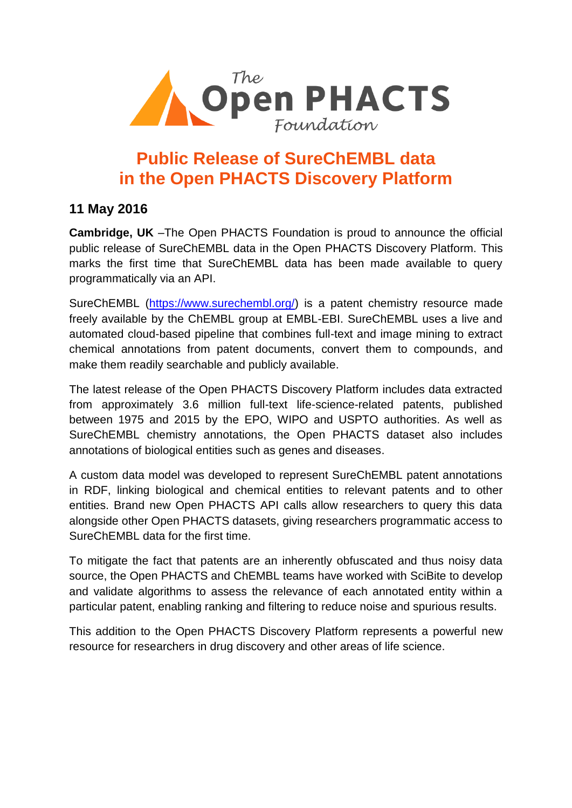

## **Public Release of SureChEMBL data in the Open PHACTS Discovery Platform**

### **11 May 2016**

**Cambridge, UK** –The Open PHACTS Foundation is proud to announce the official public release of SureChEMBL data in the Open PHACTS Discovery Platform. This marks the first time that SureChEMBL data has been made available to query programmatically via an API.

SureChEMBL [\(https://www.surechembl.org/\)](https://www.surechembl.org/) is a patent chemistry resource made freely available by the ChEMBL group at EMBL-EBI. SureChEMBL uses a live and automated cloud-based pipeline that combines full-text and image mining to extract chemical annotations from patent documents, convert them to compounds, and make them readily searchable and publicly available.

The latest release of the Open PHACTS Discovery Platform includes data extracted from approximately 3.6 million full-text life-science-related patents, published between 1975 and 2015 by the EPO, WIPO and USPTO authorities. As well as SureChEMBL chemistry annotations, the Open PHACTS dataset also includes annotations of biological entities such as genes and diseases.

A custom data model was developed to represent SureChEMBL patent annotations in RDF, linking biological and chemical entities to relevant patents and to other entities. Brand new Open PHACTS API calls allow researchers to query this data alongside other Open PHACTS datasets, giving researchers programmatic access to SureChEMBL data for the first time.

To mitigate the fact that patents are an inherently obfuscated and thus noisy data source, the Open PHACTS and ChEMBL teams have worked with SciBite to develop and validate algorithms to assess the relevance of each annotated entity within a particular patent, enabling ranking and filtering to reduce noise and spurious results.

This addition to the Open PHACTS Discovery Platform represents a powerful new resource for researchers in drug discovery and other areas of life science.